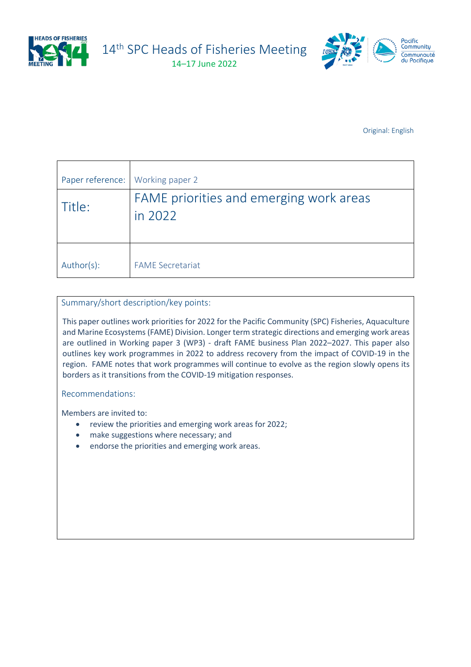

14<sup>th</sup> SPC Heads of Fisheries Meeting

14–17 June 2022



Original: English

| Paper reference: | Working paper 2                                    |
|------------------|----------------------------------------------------|
| Title:           | FAME priorities and emerging work areas<br>in 2022 |
| Author(s):       | <b>FAME Secretariat</b>                            |

Summary/short description/key points:

This paper outlines work priorities for 2022 for the Pacific Community (SPC) Fisheries, Aquaculture and Marine Ecosystems (FAME) Division. Longer term strategic directions and emerging work areas are outlined in Working paper 3 (WP3) - draft FAME business Plan 2022–2027. This paper also outlines key work programmes in 2022 to address recovery from the impact of COVID-19 in the region. FAME notes that work programmes will continue to evolve as the region slowly opens its borders as it transitions from the COVID-19 mitigation responses.

Recommendations:

Members are invited to:

- review the priorities and emerging work areas for 2022;
- make suggestions where necessary; and
- endorse the priorities and emerging work areas.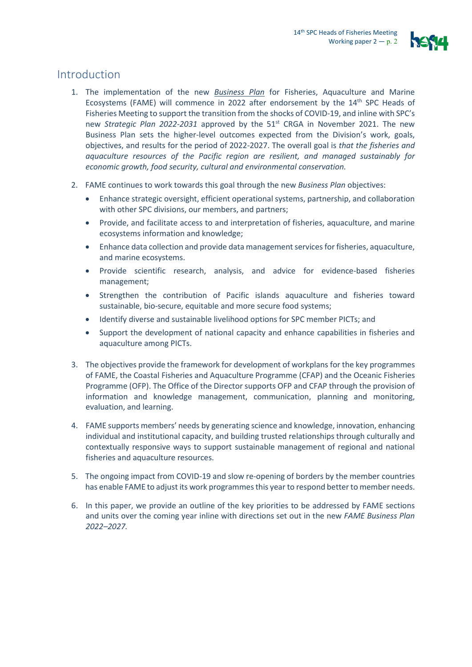

# Introduction

- 1. The implementation of the new *Business Plan* for Fisheries, Aquaculture and Marine Ecosystems (FAME) will commence in 2022 after endorsement by the 14th SPC Heads of Fisheries Meeting to support the transition from the shocks of COVID-19, and inline with SPC's new *Strategic Plan 2022-2031* approved by the 51<sup>st</sup> CRGA in November 2021. The new Business Plan sets the higher-level outcomes expected from the Division's work, goals, objectives, and results for the period of 2022-2027. The overall goal is *that the fisheries and aquaculture resources of the Pacific region are resilient, and managed sustainably for economic growth, food security, cultural and environmental conservation.*
- 2. FAME continues to work towards this goal through the new *Business Plan* objectives:
	- Enhance strategic oversight, efficient operational systems, partnership, and collaboration with other SPC divisions, our members, and partners;
	- Provide, and facilitate access to and interpretation of fisheries, aquaculture, and marine ecosystems information and knowledge;
	- Enhance data collection and provide data management services for fisheries, aquaculture, and marine ecosystems.
	- Provide scientific research, analysis, and advice for evidence-based fisheries management;
	- Strengthen the contribution of Pacific islands aquaculture and fisheries toward sustainable, bio-secure, equitable and more secure food systems;
	- Identify diverse and sustainable livelihood options for SPC member PICTs; and
	- Support the development of national capacity and enhance capabilities in fisheries and aquaculture among PICTs.
- 3. The objectives provide the framework for development of workplans for the key programmes of FAME, the Coastal Fisheries and Aquaculture Programme (CFAP) and the Oceanic Fisheries Programme (OFP). The Office of the Director supports OFP and CFAP through the provision of information and knowledge management, communication, planning and monitoring, evaluation, and learning.
- 4. FAME supports members' needs by generating science and knowledge, innovation, enhancing individual and institutional capacity, and building trusted relationships through culturally and contextually responsive ways to support sustainable management of regional and national fisheries and aquaculture resources.
- 5. The ongoing impact from COVID-19 and slow re-opening of borders by the member countries has enable FAME to adjust its work programmesthis year to respond better to member needs.
- 6. In this paper, we provide an outline of the key priorities to be addressed by FAME sections and units over the coming year inline with directions set out in the new *FAME Business Plan 2022–2027.*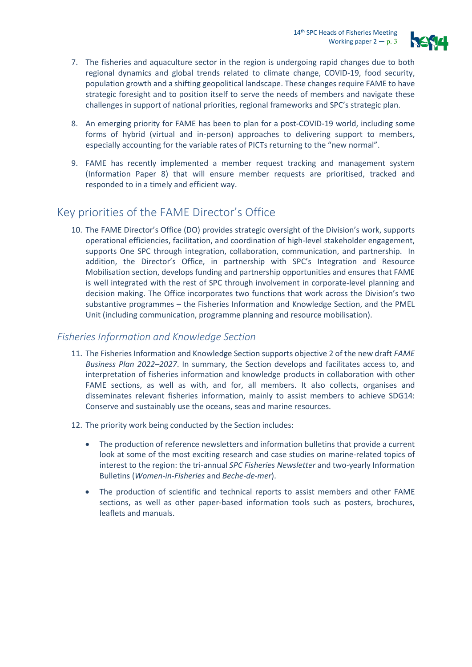

- 7. The fisheries and aquaculture sector in the region is undergoing rapid changes due to both regional dynamics and global trends related to climate change, COVID-19, food security, population growth and a shifting geopolitical landscape. These changes require FAME to have strategic foresight and to position itself to serve the needs of members and navigate these challenges in support of national priorities, regional frameworks and SPC's strategic plan.
- 8. An emerging priority for FAME has been to plan for a post-COVID-19 world, including some forms of hybrid (virtual and in-person) approaches to delivering support to members, especially accounting for the variable rates of PICTs returning to the "new normal".
- 9. FAME has recently implemented a member request tracking and management system (Information Paper 8) that will ensure member requests are prioritised, tracked and responded to in a timely and efficient way.

# Key priorities of the FAME Director's Office

10. The FAME Director's Office (DO) provides strategic oversight of the Division's work, supports operational efficiencies, facilitation, and coordination of high-level stakeholder engagement, supports One SPC through integration, collaboration, communication, and partnership. In addition, the Director's Office, in partnership with SPC's Integration and Resource Mobilisation section, develops funding and partnership opportunities and ensures that FAME is well integrated with the rest of SPC through involvement in corporate-level planning and decision making. The Office incorporates two functions that work across the Division's two substantive programmes – the Fisheries Information and Knowledge Section, and the PMEL Unit (including communication, programme planning and resource mobilisation).

### *Fisheries Information and Knowledge Section*

- 11. The Fisheries Information and Knowledge Section supports objective 2 of the new draft *FAME Business Plan 2022–2027*. In summary, the Section develops and facilitates access to, and interpretation of fisheries information and knowledge products in collaboration with other FAME sections, as well as with, and for, all members. It also collects, organises and disseminates relevant fisheries information, mainly to assist members to achieve SDG14: Conserve and sustainably use the oceans, seas and marine resources.
- 12. The priority work being conducted by the Section includes:
	- The production of reference newsletters and information bulletins that provide a current look at some of the most exciting research and case studies on marine-related topics of interest to the region: the tri-annual *SPC Fisheries Newsletter* and two-yearly Information Bulletins (*Women-in-Fisheries* and *Beche-de-mer*).
	- The production of scientific and technical reports to assist members and other FAME sections, as well as other paper-based information tools such as posters, brochures, leaflets and manuals.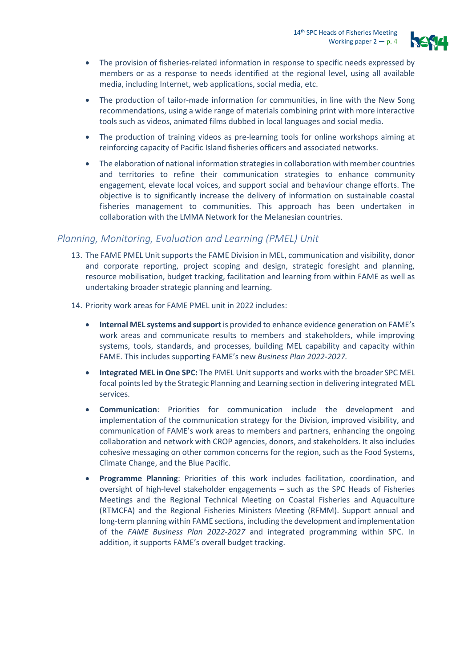

- The provision of fisheries-related information in response to specific needs expressed by members or as a response to needs identified at the regional level, using all available media, including Internet, web applications, social media, etc.
- The production of tailor-made information for communities, in line with the New Song recommendations, using a wide range of materials combining print with more interactive tools such as videos, animated films dubbed in local languages and social media.
- The production of training videos as pre-learning tools for online workshops aiming at reinforcing capacity of Pacific Island fisheries officers and associated networks.
- The elaboration of national information strategies in collaboration with member countries and territories to refine their communication strategies to enhance community engagement, elevate local voices, and support social and behaviour change efforts. The objective is to significantly increase the delivery of information on sustainable coastal fisheries management to communities. This approach has been undertaken in collaboration with the LMMA Network for the Melanesian countries.

### *Planning, Monitoring, Evaluation and Learning (PMEL) Unit*

- 13. The FAME PMEL Unit supports the FAME Division in MEL, communication and visibility, donor and corporate reporting, project scoping and design, strategic foresight and planning, resource mobilisation, budget tracking, facilitation and learning from within FAME as well as undertaking broader strategic planning and learning.
- 14. Priority work areas for FAME PMEL unit in 2022 includes:
	- **Internal MEL systems and support** is provided to enhance evidence generation on FAME's work areas and communicate results to members and stakeholders, while improving systems, tools, standards, and processes, building MEL capability and capacity within FAME. This includes supporting FAME's new *Business Plan 2022-2027.*
	- **Integrated MEL in One SPC:** The PMEL Unit supports and works with the broader SPC MEL focal points led by the Strategic Planning and Learning section in delivering integrated MEL services.
	- **Communication**: Priorities for communication include the development and implementation of the communication strategy for the Division, improved visibility, and communication of FAME's work areas to members and partners, enhancing the ongoing collaboration and network with CROP agencies, donors, and stakeholders. It also includes cohesive messaging on other common concerns for the region, such as the Food Systems, Climate Change, and the Blue Pacific.
	- **Programme Planning**: Priorities of this work includes facilitation, coordination, and oversight of high-level stakeholder engagements – such as the SPC Heads of Fisheries Meetings and the Regional Technical Meeting on Coastal Fisheries and Aquaculture (RTMCFA) and the Regional Fisheries Ministers Meeting (RFMM). Support annual and long-term planning within FAME sections, including the development and implementation of the *FAME Business Plan 2022-2027* and integrated programming within SPC. In addition, it supports FAME's overall budget tracking.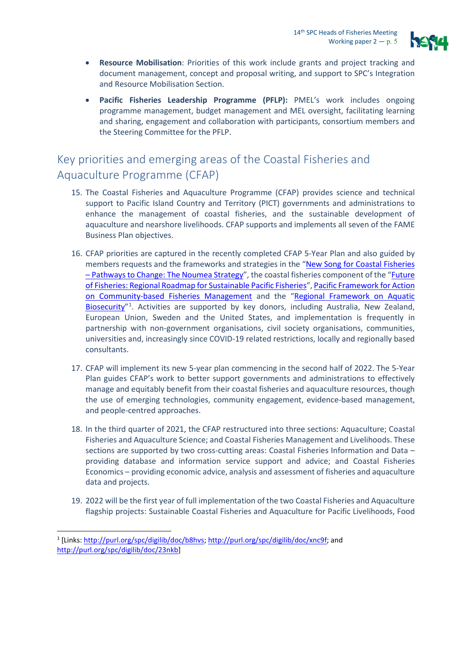

- **Resource Mobilisation**: Priorities of this work include grants and project tracking and document management, concept and proposal writing, and support to SPC's Integration and Resource Mobilisation Section.
- **Pacific Fisheries Leadership Programme (PFLP):** PMEL's work includes ongoing programme management, budget management and MEL oversight, facilitating learning and sharing, engagement and collaboration with participants, consortium members and the Steering Committee for the PFLP.

# Key priorities and emerging areas of the Coastal Fisheries and Aquaculture Programme (CFAP)

- 15. The Coastal Fisheries and Aquaculture Programme (CFAP) provides science and technical support to Pacific Island Country and Territory (PICT) governments and administrations to enhance the management of coastal fisheries, and the sustainable development of aquaculture and nearshore livelihoods. CFAP supports and implements all seven of the FAME Business Plan objectives.
- 16. CFAP priorities are captured in the recently completed CFAP 5-Year Plan and also guided by members requests and the frameworks and strategies in the ["New Song for Coastal Fisheries](http://purl.org/spc/digilib/doc/b8hvs)  – [Pathways to Change: The Noumea Strategy"](http://purl.org/spc/digilib/doc/b8hvs), the coastal fisheries component of the ["Future](http://purl.org/spc/digilib/doc/xnc9f)  [of Fisheries: Regional Roadmap for Sustainable Pacific Fisheries"](http://purl.org/spc/digilib/doc/xnc9f)[, Pacific Framework for Action](https://www.spc.int/DigitalLibrary/Doc/FAME/Reports/SPC_21_Framework_for_action.pdf)  [on Community-based Fisheries Management](https://www.spc.int/DigitalLibrary/Doc/FAME/Reports/SPC_21_Framework_for_action.pdf) and the ["Regional Framework on Aquatic](http://purl.org/spc/digilib/doc/23nkb)  Biosecurity<sup>"[1](#page-4-0)</sup>. Activities are supported by key donors, including Australia, New Zealand, European Union, Sweden and the United States, and implementation is frequently in partnership with non-government organisations, civil society organisations, communities, universities and, increasingly since COVID-19 related restrictions, locally and regionally based consultants.
- 17. CFAP will implement its new 5-year plan commencing in the second half of 2022. The 5-Year Plan guides CFAP's work to better support governments and administrations to effectively manage and equitably benefit from their coastal fisheries and aquaculture resources, though the use of emerging technologies, community engagement, evidence-based management, and people-centred approaches.
- 18. In the third quarter of 2021, the CFAP restructured into three sections: Aquaculture; Coastal Fisheries and Aquaculture Science; and Coastal Fisheries Management and Livelihoods. These sections are supported by two cross-cutting areas: Coastal Fisheries Information and Data – providing database and information service support and advice; and Coastal Fisheries Economics – providing economic advice, analysis and assessment of fisheries and aquaculture data and projects.
- 19. 2022 will be the first year of full implementation of the two Coastal Fisheries and Aquaculture flagship projects: Sustainable Coastal Fisheries and Aquaculture for Pacific Livelihoods, Food

<span id="page-4-0"></span><sup>1</sup> [Links: [http://purl.org/spc/digilib/doc/b8hvs;](http://purl.org/spc/digilib/doc/b8hvs) [http://purl.org/spc/digilib/doc/xnc9f;](http://purl.org/spc/digilib/doc/xnc9f) and [http://purl.org/spc/digilib/doc/23nkb\]](http://purl.org/spc/digilib/doc/23nkb)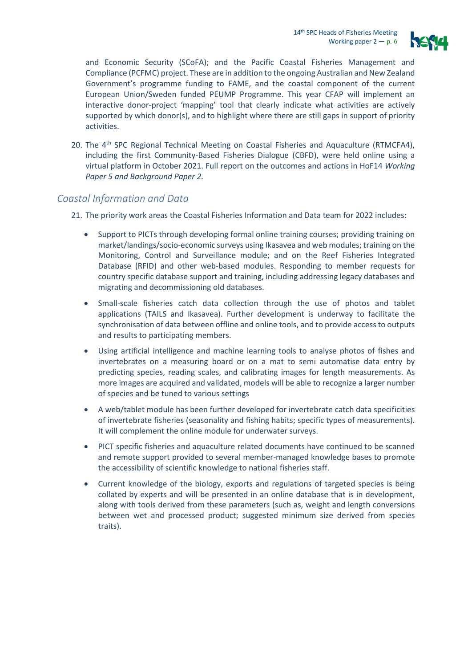

and Economic Security (SCoFA); and the Pacific Coastal Fisheries Management and Compliance (PCFMC) project. These are in addition to the ongoing Australian and New Zealand Government's programme funding to FAME, and the coastal component of the current European Union/Sweden funded PEUMP Programme. This year CFAP will implement an interactive donor-project 'mapping' tool that clearly indicate what activities are actively supported by which donor(s), and to highlight where there are still gaps in support of priority activities.

20. The 4<sup>th</sup> SPC Regional Technical Meeting on Coastal Fisheries and Aquaculture (RTMCFA4), including the first Community-Based Fisheries Dialogue (CBFD), were held online using a virtual platform in October 2021. Full report on the outcomes and actions in HoF14 *Working Paper 5 and Background Paper 2.* 

### *Coastal Information and Data*

21. The priority work areas the Coastal Fisheries Information and Data team for 2022 includes:

- Support to PICTs through developing formal online training courses; providing training on market/landings/socio-economic surveys using Ikasavea and web modules; training on the Monitoring, Control and Surveillance module; and on the Reef Fisheries Integrated Database (RFID) and other web-based modules. Responding to member requests for country specific database support and training, including addressing legacy databases and migrating and decommissioning old databases.
- Small-scale fisheries catch data collection through the use of photos and tablet applications (TAILS and Ikasavea). Further development is underway to facilitate the synchronisation of data between offline and online tools, and to provide access to outputs and results to participating members.
- Using artificial intelligence and machine learning tools to analyse photos of fishes and invertebrates on a measuring board or on a mat to semi automatise data entry by predicting species, reading scales, and calibrating images for length measurements. As more images are acquired and validated, models will be able to recognize a larger number of species and be tuned to various settings
- A web/tablet module has been further developed for invertebrate catch data specificities of invertebrate fisheries (seasonality and fishing habits; specific types of measurements). It will complement the online module for underwater surveys.
- PICT specific fisheries and aquaculture related documents have continued to be scanned and remote support provided to several member-managed knowledge bases to promote the accessibility of scientific knowledge to national fisheries staff.
- Current knowledge of the biology, exports and regulations of targeted species is being collated by experts and will be presented in an online database that is in development, along with tools derived from these parameters (such as, weight and length conversions between wet and processed product; suggested minimum size derived from species traits).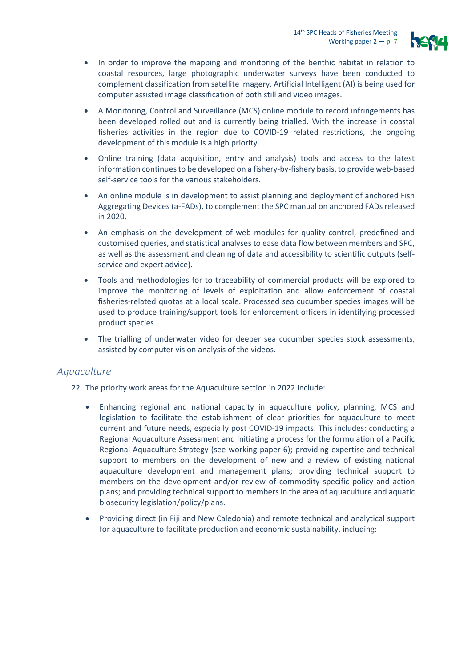

- In order to improve the mapping and monitoring of the benthic habitat in relation to coastal resources, large photographic underwater surveys have been conducted to complement classification from satellite imagery. Artificial Intelligent (AI) is being used for computer assisted image classification of both still and video images.
- A Monitoring, Control and Surveillance (MCS) online module to record infringements has been developed rolled out and is currently being trialled. With the increase in coastal fisheries activities in the region due to COVID-19 related restrictions, the ongoing development of this module is a high priority.
- Online training (data acquisition, entry and analysis) tools and access to the latest information continues to be developed on a fishery-by-fishery basis, to provide web-based self-service tools for the various stakeholders.
- An online module is in development to assist planning and deployment of anchored Fish Aggregating Devices (a-FADs), to complement the SPC manual on anchored FADs released in 2020.
- An emphasis on the development of web modules for quality control, predefined and customised queries, and statistical analyses to ease data flow between members and SPC, as well as the assessment and cleaning of data and accessibility to scientific outputs (selfservice and expert advice).
- Tools and methodologies for to traceability of commercial products will be explored to improve the monitoring of levels of exploitation and allow enforcement of coastal fisheries-related quotas at a local scale. Processed sea cucumber species images will be used to produce training/support tools for enforcement officers in identifying processed product species.
- The trialling of underwater video for deeper sea cucumber species stock assessments, assisted by computer vision analysis of the videos.

#### *Aquaculture*

22. The priority work areas for the Aquaculture section in 2022 include:

- Enhancing regional and national capacity in aquaculture policy, planning, MCS and legislation to facilitate the establishment of clear priorities for aquaculture to meet current and future needs, especially post COVID-19 impacts. This includes: conducting a Regional Aquaculture Assessment and initiating a process for the formulation of a Pacific Regional Aquaculture Strategy (see working paper 6); providing expertise and technical support to members on the development of new and a review of existing national aquaculture development and management plans; providing technical support to members on the development and/or review of commodity specific policy and action plans; and providing technical support to members in the area of aquaculture and aquatic biosecurity legislation/policy/plans.
- Providing direct (in Fiji and New Caledonia) and remote technical and analytical support for aquaculture to facilitate production and economic sustainability, including: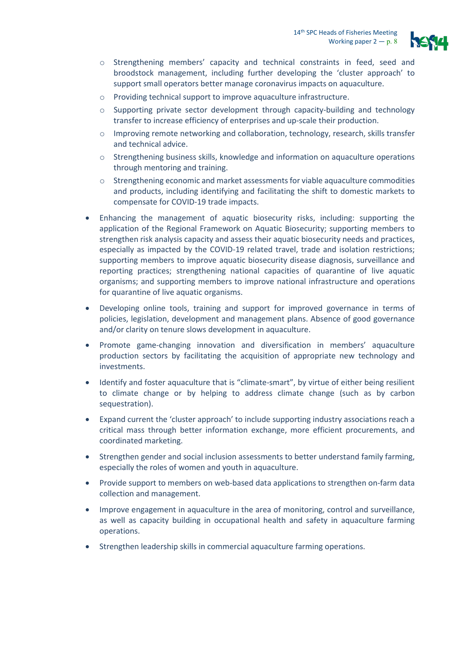

- o Strengthening members' capacity and technical constraints in feed, seed and broodstock management, including further developing the 'cluster approach' to support small operators better manage coronavirus impacts on aquaculture.
- o Providing technical support to improve aquaculture infrastructure.
- $\circ$  Supporting private sector development through capacity-building and technology transfer to increase efficiency of enterprises and up-scale their production.
- o Improving remote networking and collaboration, technology, research, skills transfer and technical advice.
- o Strengthening business skills, knowledge and information on aquaculture operations through mentoring and training.
- o Strengthening economic and market assessments for viable aquaculture commodities and products, including identifying and facilitating the shift to domestic markets to compensate for COVID-19 trade impacts.
- Enhancing the management of aquatic biosecurity risks, including: supporting the application of the Regional Framework on Aquatic Biosecurity; supporting members to strengthen risk analysis capacity and assess their aquatic biosecurity needs and practices, especially as impacted by the COVID-19 related travel, trade and isolation restrictions; supporting members to improve aquatic biosecurity disease diagnosis, surveillance and reporting practices; strengthening national capacities of quarantine of live aquatic organisms; and supporting members to improve national infrastructure and operations for quarantine of live aquatic organisms.
- Developing online tools, training and support for improved governance in terms of policies, legislation, development and management plans. Absence of good governance and/or clarity on tenure slows development in aquaculture.
- Promote game-changing innovation and diversification in members' aquaculture production sectors by facilitating the acquisition of appropriate new technology and investments.
- Identify and foster aquaculture that is "climate-smart", by virtue of either being resilient to climate change or by helping to address climate change (such as by carbon sequestration).
- Expand current the 'cluster approach' to include supporting industry associations reach a critical mass through better information exchange, more efficient procurements, and coordinated marketing.
- Strengthen gender and social inclusion assessments to better understand family farming, especially the roles of women and youth in aquaculture.
- Provide support to members on web-based data applications to strengthen on-farm data collection and management.
- Improve engagement in aquaculture in the area of monitoring, control and surveillance, as well as capacity building in occupational health and safety in aquaculture farming operations.
- Strengthen leadership skills in commercial aquaculture farming operations.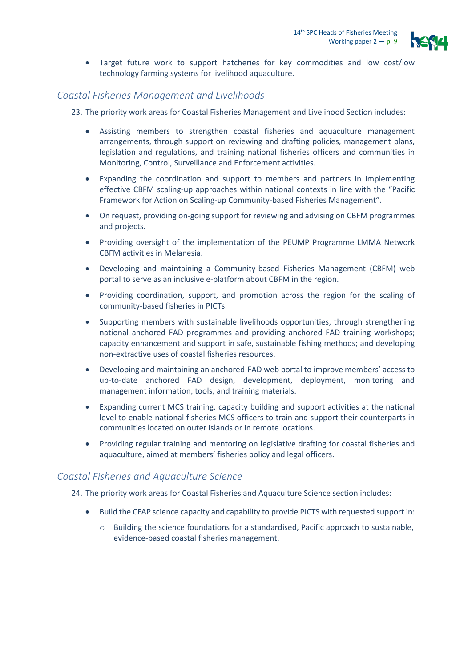

• Target future work to support hatcheries for key commodities and low cost/low technology farming systems for livelihood aquaculture.

### *Coastal Fisheries Management and Livelihoods*

23. The priority work areas for Coastal Fisheries Management and Livelihood Section includes:

- Assisting members to strengthen coastal fisheries and aquaculture management arrangements, through support on reviewing and drafting policies, management plans, legislation and regulations, and training national fisheries officers and communities in Monitoring, Control, Surveillance and Enforcement activities.
- Expanding the coordination and support to members and partners in implementing effective CBFM scaling-up approaches within national contexts in line with the "Pacific Framework for Action on Scaling-up Community-based Fisheries Management".
- On request, providing on-going support for reviewing and advising on CBFM programmes and projects.
- Providing oversight of the implementation of the PEUMP Programme LMMA Network CBFM activities in Melanesia.
- Developing and maintaining a Community-based Fisheries Management (CBFM) web portal to serve as an inclusive e-platform about CBFM in the region.
- Providing coordination, support, and promotion across the region for the scaling of community-based fisheries in PICTs.
- Supporting members with sustainable livelihoods opportunities, through strengthening national anchored FAD programmes and providing anchored FAD training workshops; capacity enhancement and support in safe, sustainable fishing methods; and developing non-extractive uses of coastal fisheries resources.
- Developing and maintaining an anchored-FAD web portal to improve members' access to up-to-date anchored FAD design, development, deployment, monitoring and management information, tools, and training materials.
- Expanding current MCS training, capacity building and support activities at the national level to enable national fisheries MCS officers to train and support their counterparts in communities located on outer islands or in remote locations.
- Providing regular training and mentoring on legislative drafting for coastal fisheries and aquaculture, aimed at members' fisheries policy and legal officers.

### *Coastal Fisheries and Aquaculture Science*

24. The priority work areas for Coastal Fisheries and Aquaculture Science section includes:

- Build the CFAP science capacity and capability to provide PICTS with requested support in:
	- o Building the science foundations for a standardised, Pacific approach to sustainable, evidence-based coastal fisheries management.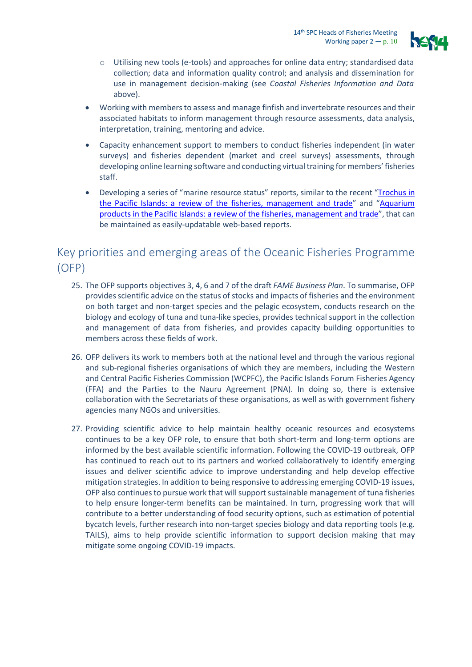

- o Utilising new tools (e-tools) and approaches for online data entry; standardised data collection; data and information quality control; and analysis and dissemination for use in management decision-making (see *Coastal Fisheries Information and Data* above).
- Working with members to assess and manage finfish and invertebrate resources and their associated habitats to inform management through resource assessments, data analysis, interpretation, training, mentoring and advice.
- Capacity enhancement support to members to conduct fisheries independent (in water surveys) and fisheries dependent (market and creel surveys) assessments, through developing online learning software and conducting virtual training for members' fisheries staff.
- Developing a series of "marine resource status" reports, similar to the recent ["Trochus in](http://purl.org/spc/digilib/doc/ndmxi)  [the Pacific Islands: a review of the fisheries, management and trade"](http://purl.org/spc/digilib/doc/ndmxi) and ["Aquarium](http://purl.org/spc/digilib/doc/m8znz)  [products in the Pacific Islands: a review of the fisheries, management and trade"](http://purl.org/spc/digilib/doc/m8znz), that can be maintained as easily-updatable web-based reports.

## Key priorities and emerging areas of the Oceanic Fisheries Programme (OFP)

- 25. The OFP supports objectives 3, 4, 6 and 7 of the draft *FAME Business Plan*. To summarise, OFP provides scientific advice on the status of stocks and impacts of fisheries and the environment on both target and non-target species and the pelagic ecosystem, conducts research on the biology and ecology of tuna and tuna-like species, provides technical support in the collection and management of data from fisheries, and provides capacity building opportunities to members across these fields of work.
- 26. OFP delivers its work to members both at the national level and through the various regional and sub-regional fisheries organisations of which they are members, including the Western and Central Pacific Fisheries Commission (WCPFC), the Pacific Islands Forum Fisheries Agency (FFA) and the Parties to the Nauru Agreement (PNA). In doing so, there is extensive collaboration with the Secretariats of these organisations, as well as with government fishery agencies many NGOs and universities.
- 27. Providing scientific advice to help maintain healthy oceanic resources and ecosystems continues to be a key OFP role, to ensure that both short-term and long-term options are informed by the best available scientific information. Following the COVID-19 outbreak, OFP has continued to reach out to its partners and worked collaboratively to identify emerging issues and deliver scientific advice to improve understanding and help develop effective mitigation strategies. In addition to being responsive to addressing emerging COVID-19 issues, OFP also continues to pursue work that will support sustainable management of tuna fisheries to help ensure longer-term benefits can be maintained. In turn, progressing work that will contribute to a better understanding of food security options, such as estimation of potential bycatch levels, further research into non-target species biology and data reporting tools (e.g. TAILS), aims to help provide scientific information to support decision making that may mitigate some ongoing COVID-19 impacts.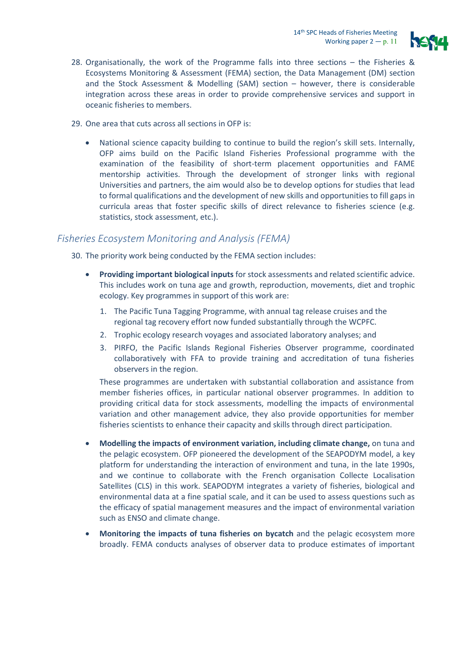

- 28. Organisationally, the work of the Programme falls into three sections the Fisheries & Ecosystems Monitoring & Assessment (FEMA) section, the Data Management (DM) section and the Stock Assessment & Modelling (SAM) section – however, there is considerable integration across these areas in order to provide comprehensive services and support in oceanic fisheries to members.
- 29. One area that cuts across all sections in OFP is:
	- National science capacity building to continue to build the region's skill sets. Internally, OFP aims build on the Pacific Island Fisheries Professional programme with the examination of the feasibility of short-term placement opportunities and FAME mentorship activities. Through the development of stronger links with regional Universities and partners, the aim would also be to develop options for studies that lead to formal qualifications and the development of new skills and opportunities to fill gaps in curricula areas that foster specific skills of direct relevance to fisheries science (e.g. statistics, stock assessment, etc.).

### *Fisheries Ecosystem Monitoring and Analysis (FEMA)*

30. The priority work being conducted by the FEMA section includes:

- **Providing important biological inputs** for stock assessments and related scientific advice. This includes work on tuna age and growth, reproduction, movements, diet and trophic ecology. Key programmes in support of this work are:
	- 1. The Pacific Tuna Tagging Programme, with annual tag release cruises and the regional tag recovery effort now funded substantially through the WCPFC.
	- 2. Trophic ecology research voyages and associated laboratory analyses; and
	- 3. PIRFO, the Pacific Islands Regional Fisheries Observer programme, coordinated collaboratively with FFA to provide training and accreditation of tuna fisheries observers in the region.

These programmes are undertaken with substantial collaboration and assistance from member fisheries offices, in particular national observer programmes. In addition to providing critical data for stock assessments, modelling the impacts of environmental variation and other management advice, they also provide opportunities for member fisheries scientists to enhance their capacity and skills through direct participation.

- **Modelling the impacts of environment variation, including climate change,** on tuna and the pelagic ecosystem. OFP pioneered the development of the SEAPODYM model, a key platform for understanding the interaction of environment and tuna, in the late 1990s, and we continue to collaborate with the French organisation Collecte Localisation Satellites (CLS) in this work. SEAPODYM integrates a variety of fisheries, biological and environmental data at a fine spatial scale, and it can be used to assess questions such as the efficacy of spatial management measures and the impact of environmental variation such as ENSO and climate change.
- **Monitoring the impacts of tuna fisheries on bycatch** and the pelagic ecosystem more broadly. FEMA conducts analyses of observer data to produce estimates of important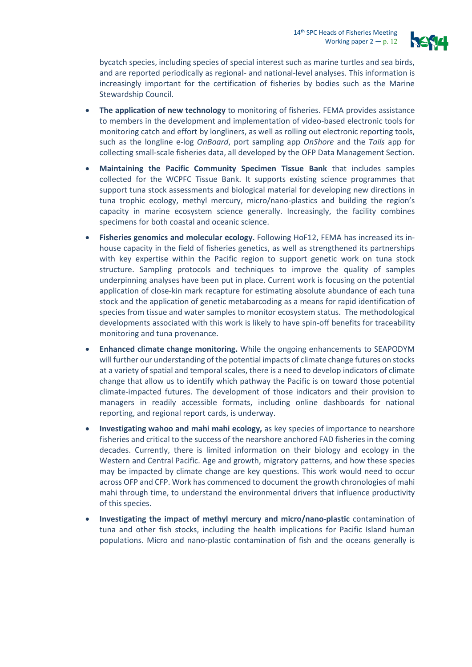

bycatch species, including species of special interest such as marine turtles and sea birds, and are reported periodically as regional- and national-level analyses. This information is increasingly important for the certification of fisheries by bodies such as the Marine Stewardship Council.

- **The application of new technology** to monitoring of fisheries. FEMA provides assistance to members in the development and implementation of video-based electronic tools for monitoring catch and effort by longliners, as well as rolling out electronic reporting tools, such as the longline e-log *OnBoard*, port sampling app *OnShore* and the *Tails* app for collecting small-scale fisheries data, all developed by the OFP Data Management Section.
- **Maintaining the Pacific Community Specimen Tissue Bank** that includes samples collected for the WCPFC Tissue Bank. It supports existing science programmes that support tuna stock assessments and biological material for developing new directions in tuna trophic ecology, methyl mercury, micro/nano-plastics and building the region's capacity in marine ecosystem science generally. Increasingly, the facility combines specimens for both coastal and oceanic science.
- **Fisheries genomics and molecular ecology.** Following HoF12, FEMA has increased its inhouse capacity in the field of fisheries genetics, as well as strengthened its partnerships with key expertise within the Pacific region to support genetic work on tuna stock structure. Sampling protocols and techniques to improve the quality of samples underpinning analyses have been put in place. Current work is focusing on the potential application of close-kin mark recapture for estimating absolute abundance of each tuna stock and the application of genetic metabarcoding as a means for rapid identification of species from tissue and water samples to monitor ecosystem status. The methodological developments associated with this work is likely to have spin-off benefits for traceability monitoring and tuna provenance.
- **Enhanced climate change monitoring.** While the ongoing enhancements to SEAPODYM will further our understanding of the potential impacts of climate change futures on stocks at a variety of spatial and temporal scales, there is a need to develop indicators of climate change that allow us to identify which pathway the Pacific is on toward those potential climate-impacted futures. The development of those indicators and their provision to managers in readily accessible formats, including online dashboards for national reporting, and regional report cards, is underway.
- **Investigating wahoo and mahi mahi ecology,** as key species of importance to nearshore fisheries and critical to the success of the nearshore anchored FAD fisheries in the coming decades. Currently, there is limited information on their biology and ecology in the Western and Central Pacific. Age and growth, migratory patterns, and how these species may be impacted by climate change are key questions. This work would need to occur across OFP and CFP. Work has commenced to document the growth chronologies of mahi mahi through time, to understand the environmental drivers that influence productivity of this species.
- **Investigating the impact of methyl mercury and micro/nano-plastic** contamination of tuna and other fish stocks, including the health implications for Pacific Island human populations. Micro and nano-plastic contamination of fish and the oceans generally is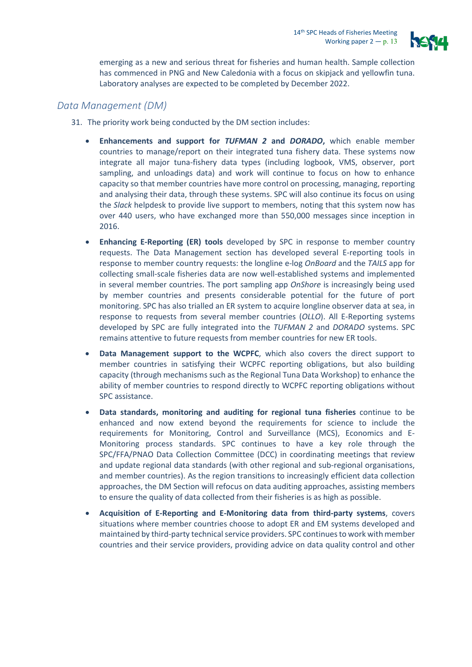

emerging as a new and serious threat for fisheries and human health. Sample collection has commenced in PNG and New Caledonia with a focus on skipjack and yellowfin tuna. Laboratory analyses are expected to be completed by December 2022.

### *Data Management (DM)*

- 31. The priority work being conducted by the DM section includes:
	- **Enhancements and support for** *TUFMAN 2* **and** *DORADO***,** which enable member countries to manage/report on their integrated tuna fishery data. These systems now integrate all major tuna-fishery data types (including logbook, VMS, observer, port sampling, and unloadings data) and work will continue to focus on how to enhance capacity so that member countries have more control on processing, managing, reporting and analysing their data, through these systems. SPC will also continue its focus on using the *Slack* helpdesk to provide live support to members, noting that this system now has over 440 users, who have exchanged more than 550,000 messages since inception in 2016.
	- **Enhancing E-Reporting (ER) tools** developed by SPC in response to member country requests. The Data Management section has developed several E-reporting tools in response to member country requests: the longline e-log *OnBoard* and the *TAILS* app for collecting small-scale fisheries data are now well-established systems and implemented in several member countries. The port sampling app *OnShore* is increasingly being used by member countries and presents considerable potential for the future of port monitoring. SPC has also trialled an ER system to acquire longline observer data at sea, in response to requests from several member countries (*OLLO*). All E-Reporting systems developed by SPC are fully integrated into the *TUFMAN 2* and *DORADO* systems. SPC remains attentive to future requests from member countries for new ER tools.
	- **Data Management support to the WCPFC**, which also covers the direct support to member countries in satisfying their WCPFC reporting obligations, but also building capacity (through mechanisms such as the Regional Tuna Data Workshop) to enhance the ability of member countries to respond directly to WCPFC reporting obligations without SPC assistance.
	- **Data standards, monitoring and auditing for regional tuna fisheries** continue to be enhanced and now extend beyond the requirements for science to include the requirements for Monitoring, Control and Surveillance (MCS), Economics and E-Monitoring process standards. SPC continues to have a key role through the SPC/FFA/PNAO Data Collection Committee (DCC) in coordinating meetings that review and update regional data standards (with other regional and sub-regional organisations, and member countries). As the region transitions to increasingly efficient data collection approaches, the DM Section will refocus on data auditing approaches, assisting members to ensure the quality of data collected from their fisheries is as high as possible.
	- **Acquisition of E-Reporting and E-Monitoring data from third-party systems**, covers situations where member countries choose to adopt ER and EM systems developed and maintained by third-party technical service providers. SPC continues to work with member countries and their service providers, providing advice on data quality control and other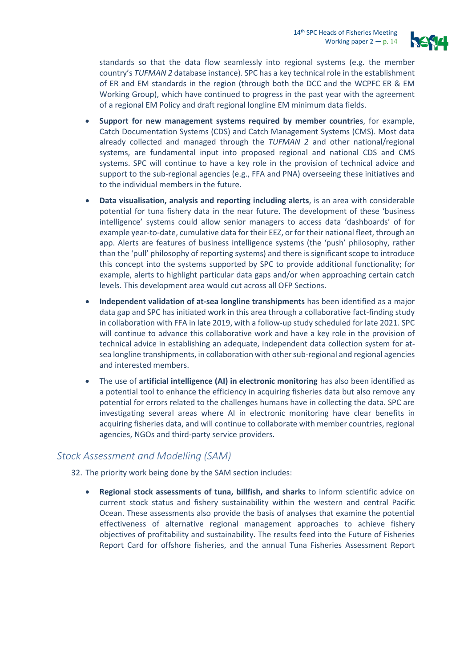

standards so that the data flow seamlessly into regional systems (e.g. the member country's *TUFMAN 2* database instance). SPC has a key technical role in the establishment of ER and EM standards in the region (through both the DCC and the WCPFC ER & EM Working Group), which have continued to progress in the past year with the agreement of a regional EM Policy and draft regional longline EM minimum data fields.

- **Support for new management systems required by member countries**, for example, Catch Documentation Systems (CDS) and Catch Management Systems (CMS). Most data already collected and managed through the *TUFMAN 2* and other national/regional systems, are fundamental input into proposed regional and national CDS and CMS systems. SPC will continue to have a key role in the provision of technical advice and support to the sub-regional agencies (e.g., FFA and PNA) overseeing these initiatives and to the individual members in the future.
- **Data visualisation, analysis and reporting including alerts**, is an area with considerable potential for tuna fishery data in the near future. The development of these 'business intelligence' systems could allow senior managers to access data 'dashboards' of for example year-to-date, cumulative data for their EEZ, or for their national fleet, through an app. Alerts are features of business intelligence systems (the 'push' philosophy, rather than the 'pull' philosophy of reporting systems) and there is significant scope to introduce this concept into the systems supported by SPC to provide additional functionality; for example, alerts to highlight particular data gaps and/or when approaching certain catch levels. This development area would cut across all OFP Sections.
- **Independent validation of at-sea longline transhipments** has been identified as a major data gap and SPC has initiated work in this area through a collaborative fact-finding study in collaboration with FFA in late 2019, with a follow-up study scheduled for late 2021. SPC will continue to advance this collaborative work and have a key role in the provision of technical advice in establishing an adequate, independent data collection system for atsea longline transhipments, in collaboration with other sub-regional and regional agencies and interested members.
- The use of **artificial intelligence (AI) in electronic monitoring** has also been identified as a potential tool to enhance the efficiency in acquiring fisheries data but also remove any potential for errors related to the challenges humans have in collecting the data. SPC are investigating several areas where AI in electronic monitoring have clear benefits in acquiring fisheries data, and will continue to collaborate with member countries, regional agencies, NGOs and third-party service providers.

#### *Stock Assessment and Modelling (SAM)*

32. The priority work being done by the SAM section includes:

• **Regional stock assessments of tuna, billfish, and sharks** to inform scientific advice on current stock status and fishery sustainability within the western and central Pacific Ocean. These assessments also provide the basis of analyses that examine the potential effectiveness of alternative regional management approaches to achieve fishery objectives of profitability and sustainability. The results feed into the Future of Fisheries Report Card for offshore fisheries, and the annual Tuna Fisheries Assessment Report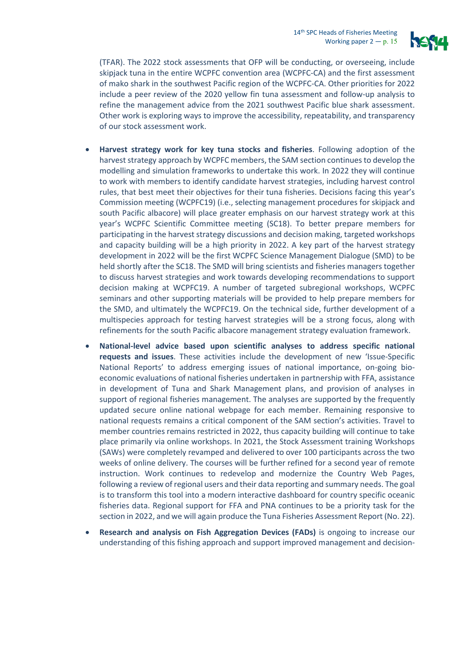

(TFAR). The 2022 stock assessments that OFP will be conducting, or overseeing, include skipjack tuna in the entire WCPFC convention area (WCPFC-CA) and the first assessment of mako shark in the southwest Pacific region of the WCPFC-CA. Other priorities for 2022 include a peer review of the 2020 yellow fin tuna assessment and follow-up analysis to refine the management advice from the 2021 southwest Pacific blue shark assessment. Other work is exploring ways to improve the accessibility, repeatability, and transparency of our stock assessment work.

- **Harvest strategy work for key tuna stocks and fisheries**. Following adoption of the harvest strategy approach by WCPFC members, the SAM section continues to develop the modelling and simulation frameworks to undertake this work. In 2022 they will continue to work with members to identify candidate harvest strategies, including harvest control rules, that best meet their objectives for their tuna fisheries. Decisions facing this year's Commission meeting (WCPFC19) (i.e., selecting management procedures for skipjack and south Pacific albacore) will place greater emphasis on our harvest strategy work at this year's WCPFC Scientific Committee meeting (SC18). To better prepare members for participating in the harvest strategy discussions and decision making, targeted workshops and capacity building will be a high priority in 2022. A key part of the harvest strategy development in 2022 will be the first WCPFC Science Management Dialogue (SMD) to be held shortly after the SC18. The SMD will bring scientists and fisheries managers together to discuss harvest strategies and work towards developing recommendations to support decision making at WCPFC19. A number of targeted subregional workshops, WCPFC seminars and other supporting materials will be provided to help prepare members for the SMD, and ultimately the WCPFC19. On the technical side, further development of a multispecies approach for testing harvest strategies will be a strong focus, along with refinements for the south Pacific albacore management strategy evaluation framework.
- **National-level advice based upon scientific analyses to address specific national requests and issues**. These activities include the development of new 'Issue-Specific National Reports' to address emerging issues of national importance, on-going bioeconomic evaluations of national fisheries undertaken in partnership with FFA, assistance in development of Tuna and Shark Management plans, and provision of analyses in support of regional fisheries management. The analyses are supported by the frequently updated secure online national webpage for each member. Remaining responsive to national requests remains a critical component of the SAM section's activities. Travel to member countries remains restricted in 2022, thus capacity building will continue to take place primarily via online workshops. In 2021, the Stock Assessment training Workshops (SAWs) were completely revamped and delivered to over 100 participants across the two weeks of online delivery. The courses will be further refined for a second year of remote instruction. Work continues to redevelop and modernize the Country Web Pages, following a review of regional users and their data reporting and summary needs. The goal is to transform this tool into a modern interactive dashboard for country specific oceanic fisheries data. Regional support for FFA and PNA continues to be a priority task for the section in 2022, and we will again produce the Tuna Fisheries Assessment Report (No. 22).
- **Research and analysis on Fish Aggregation Devices (FADs)** is ongoing to increase our understanding of this fishing approach and support improved management and decision-